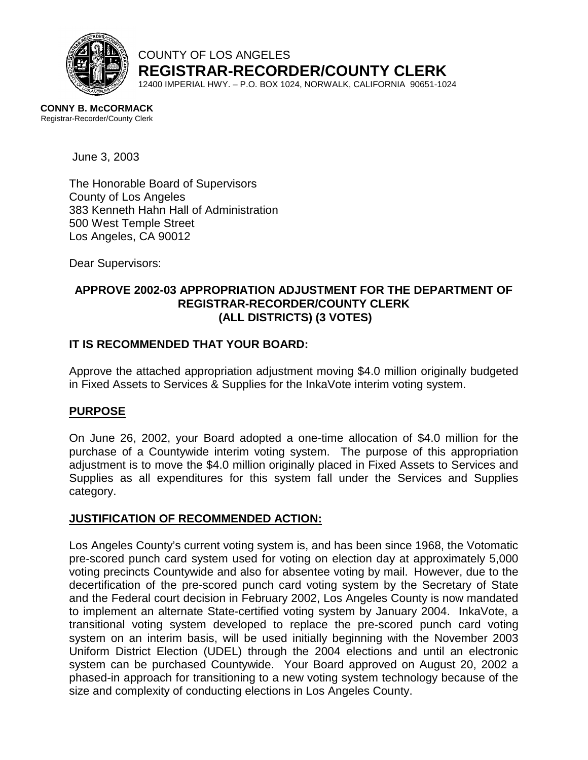

COUNTY OF LOS ANGELES **REGISTRAR-RECORDER/COUNTY CLERK**

12400 IMPERIAL HWY. – P.O. BOX 1024, NORWALK, CALIFORNIA 90651-1024

**CONNY B. McCORMACK**  Registrar-Recorder/County Clerk

June 3, 2003

The Honorable Board of Supervisors County of Los Angeles 383 Kenneth Hahn Hall of Administration 500 West Temple Street Los Angeles, CA 90012

Dear Supervisors:

## **APPROVE 2002-03 APPROPRIATION ADJUSTMENT FOR THE DEPARTMENT OF REGISTRAR-RECORDER/COUNTY CLERK (ALL DISTRICTS) (3 VOTES)**

## **IT IS RECOMMENDED THAT YOUR BOARD:**

Approve the attached appropriation adjustment moving \$4.0 million originally budgeted in Fixed Assets to Services & Supplies for the InkaVote interim voting system.

### **PURPOSE**

On June 26, 2002, your Board adopted a one-time allocation of \$4.0 million for the purchase of a Countywide interim voting system. The purpose of this appropriation adjustment is to move the \$4.0 million originally placed in Fixed Assets to Services and Supplies as all expenditures for this system fall under the Services and Supplies category.

### **JUSTIFICATION OF RECOMMENDED ACTION:**

Los Angeles County's current voting system is, and has been since 1968, the Votomatic pre-scored punch card system used for voting on election day at approximately 5,000 voting precincts Countywide and also for absentee voting by mail. However, due to the decertification of the pre-scored punch card voting system by the Secretary of State and the Federal court decision in February 2002, Los Angeles County is now mandated to implement an alternate State-certified voting system by January 2004. InkaVote, a transitional voting system developed to replace the pre-scored punch card voting system on an interim basis, will be used initially beginning with the November 2003 Uniform District Election (UDEL) through the 2004 elections and until an electronic system can be purchased Countywide. Your Board approved on August 20, 2002 a phased-in approach for transitioning to a new voting system technology because of the size and complexity of conducting elections in Los Angeles County.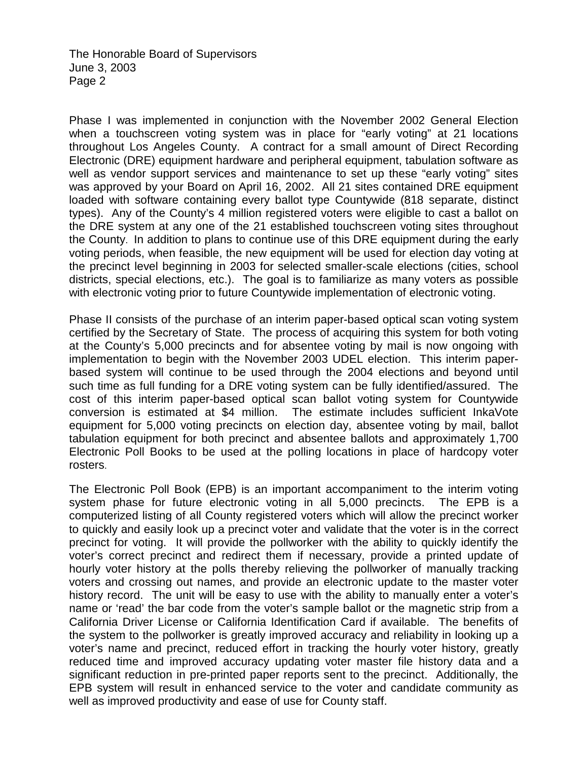Phase I was implemented in conjunction with the November 2002 General Election when a touchscreen voting system was in place for "early voting" at 21 locations throughout Los Angeles County. A contract for a small amount of Direct Recording Electronic (DRE) equipment hardware and peripheral equipment, tabulation software as well as vendor support services and maintenance to set up these "early voting" sites was approved by your Board on April 16, 2002. All 21 sites contained DRE equipment loaded with software containing every ballot type Countywide (818 separate, distinct types). Any of the County's 4 million registered voters were eligible to cast a ballot on the DRE system at any one of the 21 established touchscreen voting sites throughout the County. In addition to plans to continue use of this DRE equipment during the early voting periods, when feasible, the new equipment will be used for election day voting at the precinct level beginning in 2003 for selected smaller-scale elections (cities, school districts, special elections, etc.). The goal is to familiarize as many voters as possible with electronic voting prior to future Countywide implementation of electronic voting.

Phase II consists of the purchase of an interim paper-based optical scan voting system certified by the Secretary of State. The process of acquiring this system for both voting at the County's 5,000 precincts and for absentee voting by mail is now ongoing with implementation to begin with the November 2003 UDEL election. This interim paperbased system will continue to be used through the 2004 elections and beyond until such time as full funding for a DRE voting system can be fully identified/assured. The cost of this interim paper-based optical scan ballot voting system for Countywide conversion is estimated at \$4 million. The estimate includes sufficient InkaVote equipment for 5,000 voting precincts on election day, absentee voting by mail, ballot tabulation equipment for both precinct and absentee ballots and approximately 1,700 Electronic Poll Books to be used at the polling locations in place of hardcopy voter rosters.

The Electronic Poll Book (EPB) is an important accompaniment to the interim voting system phase for future electronic voting in all 5,000 precincts. The EPB is a computerized listing of all County registered voters which will allow the precinct worker to quickly and easily look up a precinct voter and validate that the voter is in the correct precinct for voting. It will provide the pollworker with the ability to quickly identify the voter's correct precinct and redirect them if necessary, provide a printed update of hourly voter history at the polls thereby relieving the pollworker of manually tracking voters and crossing out names, and provide an electronic update to the master voter history record. The unit will be easy to use with the ability to manually enter a voter's name or 'read' the bar code from the voter's sample ballot or the magnetic strip from a California Driver License or California Identification Card if available. The benefits of the system to the pollworker is greatly improved accuracy and reliability in looking up a voter's name and precinct, reduced effort in tracking the hourly voter history, greatly reduced time and improved accuracy updating voter master file history data and a significant reduction in pre-printed paper reports sent to the precinct. Additionally, the EPB system will result in enhanced service to the voter and candidate community as well as improved productivity and ease of use for County staff.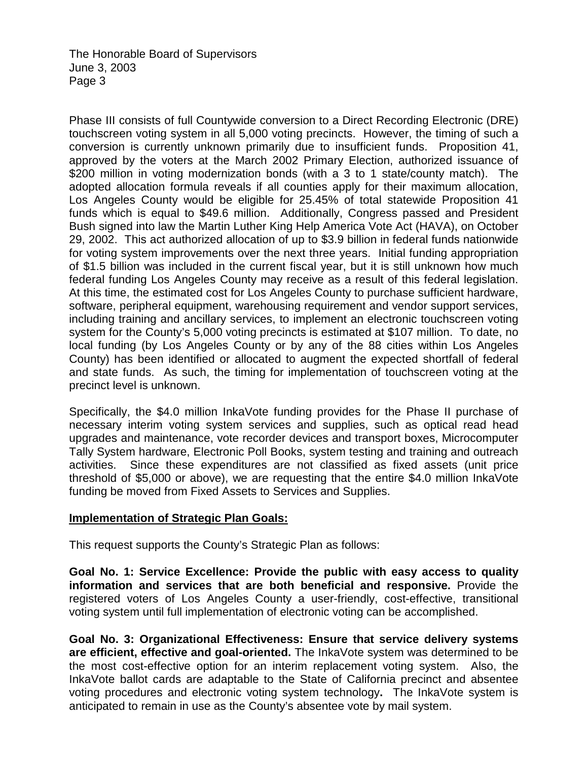Phase III consists of full Countywide conversion to a Direct Recording Electronic (DRE) touchscreen voting system in all 5,000 voting precincts. However, the timing of such a conversion is currently unknown primarily due to insufficient funds. Proposition 41, approved by the voters at the March 2002 Primary Election, authorized issuance of \$200 million in voting modernization bonds (with a 3 to 1 state/county match). The adopted allocation formula reveals if all counties apply for their maximum allocation, Los Angeles County would be eligible for 25.45% of total statewide Proposition 41 funds which is equal to \$49.6 million. Additionally, Congress passed and President Bush signed into law the Martin Luther King Help America Vote Act (HAVA), on October 29, 2002. This act authorized allocation of up to \$3.9 billion in federal funds nationwide for voting system improvements over the next three years. Initial funding appropriation of \$1.5 billion was included in the current fiscal year, but it is still unknown how much federal funding Los Angeles County may receive as a result of this federal legislation. At this time, the estimated cost for Los Angeles County to purchase sufficient hardware, software, peripheral equipment, warehousing requirement and vendor support services, including training and ancillary services, to implement an electronic touchscreen voting system for the County's 5,000 voting precincts is estimated at \$107 million. To date, no local funding (by Los Angeles County or by any of the 88 cities within Los Angeles County) has been identified or allocated to augment the expected shortfall of federal and state funds. As such, the timing for implementation of touchscreen voting at the precinct level is unknown.

Specifically, the \$4.0 million InkaVote funding provides for the Phase II purchase of necessary interim voting system services and supplies, such as optical read head upgrades and maintenance, vote recorder devices and transport boxes, Microcomputer Tally System hardware, Electronic Poll Books, system testing and training and outreach activities. Since these expenditures are not classified as fixed assets (unit price threshold of \$5,000 or above), we are requesting that the entire \$4.0 million InkaVote funding be moved from Fixed Assets to Services and Supplies.

# **Implementation of Strategic Plan Goals:**

This request supports the County's Strategic Plan as follows:

**Goal No. 1: Service Excellence: Provide the public with easy access to quality information and services that are both beneficial and responsive.** Provide the registered voters of Los Angeles County a user-friendly, cost-effective, transitional voting system until full implementation of electronic voting can be accomplished.

**Goal No. 3: Organizational Effectiveness: Ensure that service delivery systems are efficient, effective and goal-oriented.** The InkaVote system was determined to be the most cost-effective option for an interim replacement voting system. Also, the InkaVote ballot cards are adaptable to the State of California precinct and absentee voting procedures and electronic voting system technology**.** The InkaVote system is anticipated to remain in use as the County's absentee vote by mail system.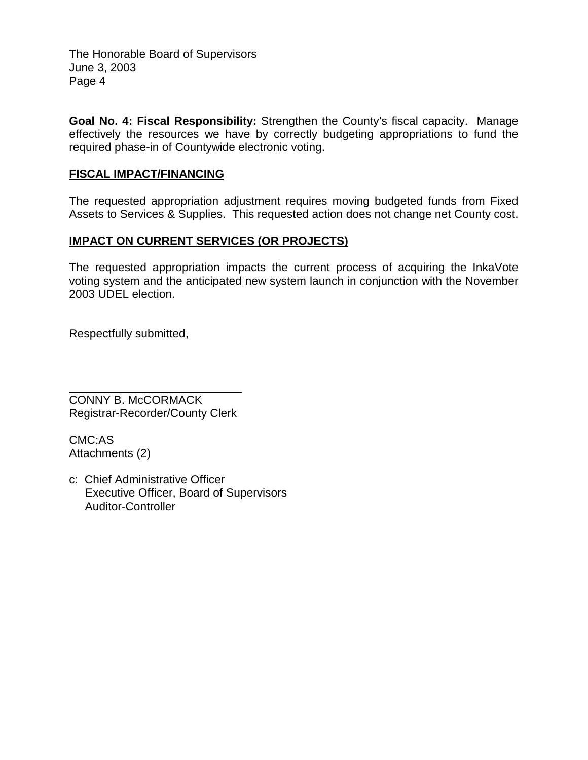**Goal No. 4: Fiscal Responsibility:** Strengthen the County's fiscal capacity. Manage effectively the resources we have by correctly budgeting appropriations to fund the required phase-in of Countywide electronic voting.

## **FISCAL IMPACT/FINANCING**

The requested appropriation adjustment requires moving budgeted funds from Fixed Assets to Services & Supplies. This requested action does not change net County cost.

## **IMPACT ON CURRENT SERVICES (OR PROJECTS)**

The requested appropriation impacts the current process of acquiring the InkaVote voting system and the anticipated new system launch in conjunction with the November 2003 UDEL election.

Respectfully submitted,

 $\overline{a}$ CONNY B. McCORMACK Registrar-Recorder/County Clerk

CMC:AS Attachments (2)

c: Chief Administrative Officer Executive Officer, Board of Supervisors Auditor-Controller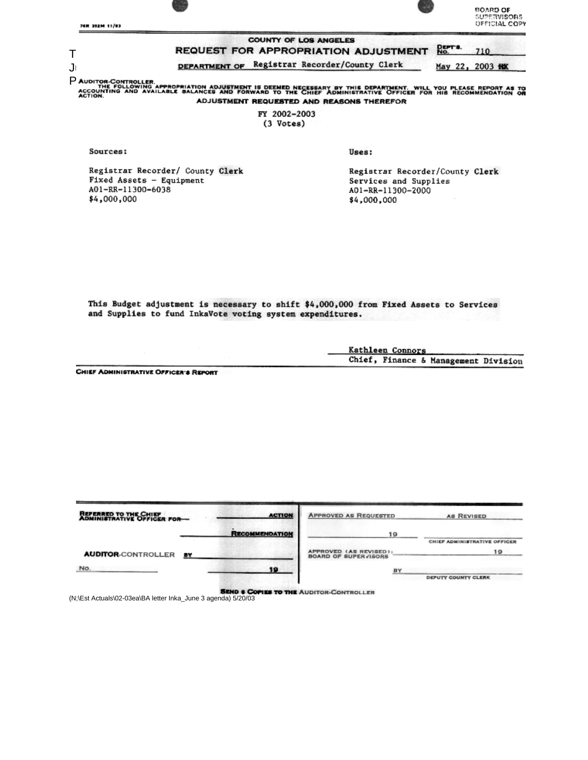

FY 2002-2003 (3 Votes)

Sources:

Registrar Recorder/ County Clerk Fixed Assets - Equipment A01-RR-11300-6038 \$4,000,000

Uses:

Registrar Recorder/County Clerk Services and Supplies A01-RR-11300-2000 \$4,000,000

This Budget adjustment is necessary to shift \$4,000,000 from Fixed Assets to Services and Supplies to fund InkaVote voting system expenditures.

> Kathleen Connors Chief, Finance & Management Division

CHIEF ADMINISTRATIVE OFFICER'S REPORT

| REFERRED TO THE CHIEF<br>ADMINISTRATIVE OFFICER FOR- |           | <b>ACTION</b>         | <b>APPROVED AS REQUESTED</b>                          | <b>AB REVISED</b>            |
|------------------------------------------------------|-----------|-----------------------|-------------------------------------------------------|------------------------------|
|                                                      |           | <b>RECOMMENDATION</b> | 19                                                    | CHIEF ADMINISTRATIVE OFFICER |
| <b>AUDITOR-CONTROLLER</b>                            | <b>BY</b> |                       | APPROVED (AS REVISED):<br><b>BOARD OF SUPERVISORS</b> | 19                           |
| No.                                                  |           | 19                    | <b>BY</b>                                             |                              |
|                                                      |           |                       |                                                       | DEPUTY COUNTY CLERK          |

(N;\Est Actuals\02-03ea\BA letter Inka\_June 3 agenda) 5/20/03<br>( Missenhappenda) 5/20/03/03/03/20/03